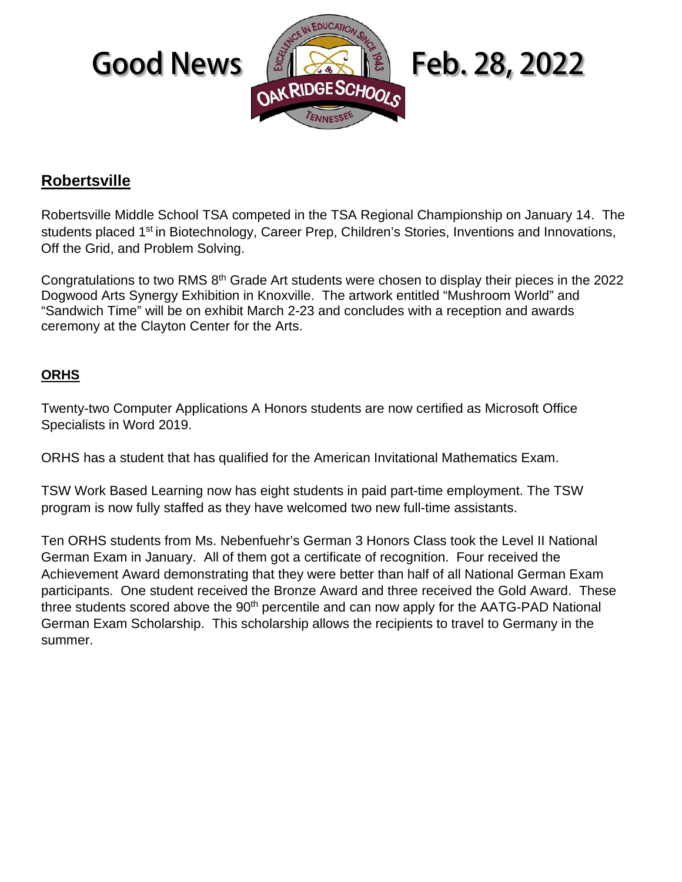

## **Robertsville**

Robertsville Middle School TSA competed in the TSA Regional Championship on January 14. The students placed 1<sup>st</sup> in Biotechnology, Career Prep, Children's Stories, Inventions and Innovations, Off the Grid, and Problem Solving.

Congratulations to two RMS 8th Grade Art students were chosen to display their pieces in the 2022 Dogwood Arts Synergy Exhibition in Knoxville. The artwork entitled "Mushroom World" and "Sandwich Time" will be on exhibit March 2-23 and concludes with a reception and awards ceremony at the Clayton Center for the Arts.

### **ORHS**

Twenty-two Computer Applications A Honors students are now certified as Microsoft Office Specialists in Word 2019.

ORHS has a student that has qualified for the American Invitational Mathematics Exam.

TSW Work Based Learning now has eight students in paid part-time employment. The TSW program is now fully staffed as they have welcomed two new full-time assistants.

Ten ORHS students from Ms. Nebenfuehr's German 3 Honors Class took the Level II National German Exam in January. All of them got a certificate of recognition. Four received the Achievement Award demonstrating that they were better than half of all National German Exam participants. One student received the Bronze Award and three received the Gold Award. These three students scored above the  $90<sup>th</sup>$  percentile and can now apply for the AATG-PAD National German Exam Scholarship. This scholarship allows the recipients to travel to Germany in the summer.